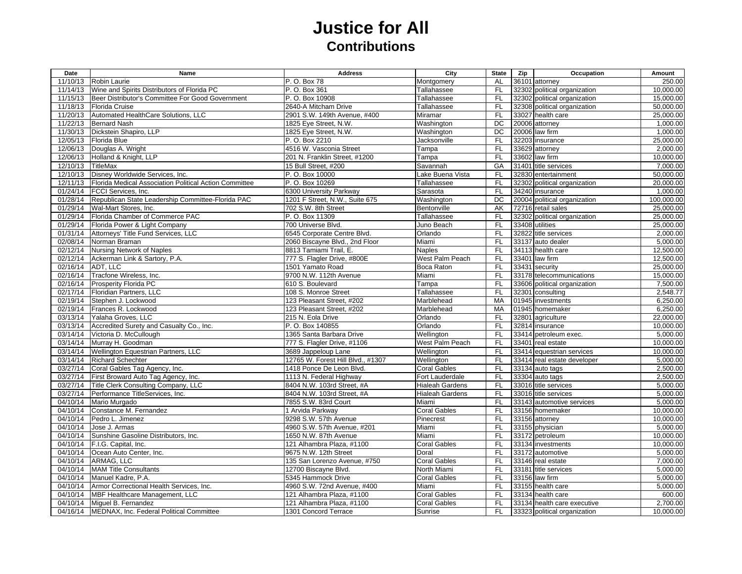## **Justice for All Contributions**

| 11/10/13<br>250.00<br>Robin Laurie<br>P. O. Box 78<br>Montgomery<br><b>AL</b><br>36101 attorney<br>Wine and Spirits Distributors of Florida PC<br>P. O. Box 361<br><b>FL</b><br>32302 political organization<br>10,000.00<br>11/14/13<br>Tallahassee<br><b>FL</b><br>11/15/13<br>Beer Distributor's Committee For Good Government<br>P. O. Box 10908<br>32302 political organization<br>15,000.00<br>Tallahassee<br><b>FL</b><br>11/18/13<br>2640-A Mitcham Drive<br>32308 political organization<br>50,000.00<br>Florida Cruise<br>Tallahassee<br>FL<br>11/20/13<br>Automated HealthCare Solutions, LLC<br>25,000.00<br>2901 S.W. 149th Avenue, #400<br>Miramar<br>33027 health care<br>11/22/13<br><b>Bernard Nash</b><br>DC<br>20006 attorney<br>1,000.00<br>1825 Eye Street, N.W.<br>Washington<br>Dickstein Shapiro, LLP<br>DC<br>11/30/13<br>1825 Eye Street, N.W.<br>Washington<br>20006 law firm<br>1,000.00<br>12/05/13<br><b>Florida Blue</b><br>P. O. Box 2210<br><b>FL</b><br>32203 insurance<br>25,000.00<br>Jacksonville<br>4516 W. Vasconia Street<br><b>FL</b><br>12/06/13<br>Douglas A. Wright<br>Tampa<br>33629 attorney<br>2,000.00<br>F <sub>L</sub><br>Holland & Knight, LLP<br>33602 law firm<br>10.000.00<br>12/06/13<br>201 N. Franklin Street. #1200<br>Tampa<br>GA<br>12/10/13<br><b>TitleMax</b><br>15 Bull Street, #200<br>Savannah<br>31401 title services<br>7,000.00<br>Disney Worldwide Services, Inc.<br><b>FL</b><br>50,000.00<br>12/10/13<br>P. O. Box 10000<br>Lake Buena Vista<br>32830 entertainment<br>20,000.00<br>12/11/13<br>Florida Medical Association Political Action Committee<br>P. O. Box 10269<br><b>FL</b><br>Tallahassee<br>32302 political organization<br>01/24/14<br><b>FL</b><br>1,000.00<br><b>FCCI</b> Services, Inc.<br>6300 University Parkway<br>Sarasota<br>34240 insurance<br>DC<br>01/28/14<br>Republican State Leadership Committee-Florida PAC<br>1201 F Street, N.W., Suite 675<br>Washington<br>20004 political organization<br>100,000.00<br>01/29/14<br>Wal-Mart Stores, Inc.<br>AK<br>72716 retail sales<br>25,000.00<br>702 S.W. 8th Street<br>Bentonville<br>01/29/14<br>Florida Chamber of Commerce PAC<br>P. O. Box 11309<br><b>FL</b><br>32302 political organization<br>25,000.00<br>Tallahassee<br>25,000.00<br>01/29/14<br>Florida Power & Light Company<br>700 Universe Blvd.<br>Juno Beach<br><b>FL</b><br>33408 utilities<br>FL<br>01/31/14<br>Attorneys' Title Fund Services, LLC<br>6545 Corporate Centre Blvd.<br>Orlando<br>32822 title services<br>2,000.00<br><b>FL</b><br>02/08/14<br>Norman Braman<br>2060 Biscayne Blvd., 2nd Floor<br>Miami<br>33137 auto dealer<br>5,000.00<br>F<br>02/12/14<br><b>Nursing Network of Naples</b><br>34113 health care<br>12,500.00<br>8813 Tamiami Trail, E.<br><b>Naples</b><br>02/12/14<br>Ackerman Link & Sartory, P.A.<br>777 S. Flagler Drive, #800E<br>West Palm Peach<br>FL.<br>33401 law firm<br>12,500.00<br>02/16/14<br>ADT. LLC<br>33431 security<br>25,000.00<br>1501 Yamato Road<br>Boca Raton<br><b>FL</b><br><b>FL</b><br>15,000.00<br>02/16/14<br>Tracfone Wireless, Inc.<br>9700 N.W. 112th Avenue<br>Miami<br>33178 telecommunications<br>02/16/14<br>Prosperity Florida PC<br>610 S. Boulevard<br><b>FL</b><br>7,500.00<br>Tampa<br>33606 political organization<br>02/17/14<br><b>FL</b><br>Floridian Partners, LLC<br>108 S. Monroe Street<br>Tallahassee<br>32301 consulting<br>2,548.77<br>02/19/14<br><b>MA</b><br>01945 investments<br>6,250.00<br>Stephen J. Lockwood<br>123 Pleasant Street, #202<br>Marblehead<br>02/19/14<br>Frances R. Lockwood<br>123 Pleasant Street, #202<br>Marblehead<br>MA<br>01945 homemaker<br>6,250.00<br>03/13/14<br>Yalaha Groves, LLC<br><b>FL</b><br>32801 agriculture<br>22,000.00<br>215 N. Eola Drive<br>Orlando<br><b>FL</b><br>10,000.00<br>03/13/14<br>Accredited Surety and Casualty Co., Inc.<br>P. O. Box 140855<br>Orlando<br>32814 insurance<br>03/14/14<br>Victoria D. McCullough<br><b>FL</b><br>33414 petroleum exec.<br>5.000.00<br>1365 Santa Barbara Drive<br>Wellington<br><b>FL</b><br>03/14/14<br>Murray H. Goodman<br>777 S. Flagler Drive, #1106<br>West Palm Peach<br>33401 real estate<br>10,000.00<br>Wellington Equestrian Partners, LLC<br><b>FL</b><br>03/14/14<br>3689 Jappeloup Lane<br>Wellington<br>33414 equestrian services<br>10,000.00<br>03/14/14<br><b>Richard Schechter</b><br>12765 W. Forest Hill Blvd., #1307<br><b>FL</b><br>5,000.00<br>Wellington<br>33414 real estate developer<br>2,500.00<br>03/27/14<br>Coral Gables Tag Agency, Inc.<br>1418 Ponce De Leon Blvd.<br><b>Coral Gables</b><br><b>FL</b><br>33134 auto tags<br>03/27/14<br>First Broward Auto Tag Agency, Inc.<br>1113 N. Federal Highway<br><b>FL</b><br>33304 auto tags<br>2,500.00<br>Fort Lauderdale<br><b>FL</b><br>03/27/14<br>Title Clerk Consulting Company, LLC<br>8404 N.W. 103rd Street, #A<br><b>Hialeah Gardens</b><br>33016 title services<br>5,000.00<br>FL<br>03/27/14<br>5,000.00<br>Performance TitleServices, Inc.<br>8404 N.W. 103rd Street, #A<br><b>Hialeah Gardens</b><br>33016 title services<br>04/10/14<br>Mario Murgado<br>7855 S.W. 83rd Court<br>Miami<br>FL.<br>33143 automotive services<br>5,000.00<br>04/10/14<br>Constance M. Fernandez<br><b>Coral Gables</b><br>10,000.00<br>1 Arvida Parkway<br><b>FL</b><br>33156 homemaker<br>04/10/14<br><b>FL</b><br>Pedro L. Jimenez<br>9298 S.W. 57th Avenue<br>Pinecrest<br>33156 attorney<br>10,000.00<br><b>FL</b><br>33155 physician<br>5.000.00<br>04/10/14<br>Jose J. Armas<br>4960 S.W. 57th Avenue, #201<br>Miami<br><b>FL</b><br>04/10/14<br>Sunshine Gasoline Distributors, Inc.<br>1650 N.W. 87th Avenue<br>Miami<br>33172 petroleum<br>10,000.00<br><b>Coral Gables</b><br><b>FL</b><br>04/10/14<br>F.I.G. Capital, Inc.<br>121 Alhambra Plaza, #1100<br>33134 investments<br>10,000.00<br>04/10/14<br>9675 N.W. 12th Street<br><b>FL</b><br>33172 automotive<br>5,000.00<br>Ocean Auto Center, Inc.<br>Doral<br>04/10/14<br><b>Coral Gables</b><br><b>FL</b><br>7,000.00<br>ARMAG, LLC<br>135 San Lorenzo Avenue, #750<br>33146 real estate<br>04/10/14<br><b>MAM Title Consultants</b><br>12700 Biscayne Blvd.<br>North Miami<br><b>FL</b><br>33181 title services<br>5,000.00<br><b>FL</b><br>04/10/14<br>Manuel Kadre, P.A.<br>5345 Hammock Drive<br><b>Coral Gables</b><br>33156 law firm<br>5,000.00<br>F<br>04/10/14<br>Armor Correctional Health Services, Inc.<br>4960 S.W. 72nd Avenue, #400<br>Miami<br>33155 health care<br>5,000.00<br>04/10/14<br>MBF Healthcare Management, LLC<br>121 Alhambra Plaza, #1100<br><b>Coral Gables</b><br><b>FL</b><br>33134 health care<br>600.00<br>121 Alhambra Plaza, #1100<br>2,700.00<br>04/10/14<br>Miguel B. Fernandez<br><b>Coral Gables</b><br>FL<br>33134 health care executive<br>04/16/14<br>MEDNAX, Inc. Federal Political Committee<br>1301 Concord Terrace<br>Sunrise<br>FL<br>33323 political organization<br>10,000.00 | Date | Name | <b>Address</b> | City | <b>State</b> | Zip | Occupation | Amount |
|-----------------------------------------------------------------------------------------------------------------------------------------------------------------------------------------------------------------------------------------------------------------------------------------------------------------------------------------------------------------------------------------------------------------------------------------------------------------------------------------------------------------------------------------------------------------------------------------------------------------------------------------------------------------------------------------------------------------------------------------------------------------------------------------------------------------------------------------------------------------------------------------------------------------------------------------------------------------------------------------------------------------------------------------------------------------------------------------------------------------------------------------------------------------------------------------------------------------------------------------------------------------------------------------------------------------------------------------------------------------------------------------------------------------------------------------------------------------------------------------------------------------------------------------------------------------------------------------------------------------------------------------------------------------------------------------------------------------------------------------------------------------------------------------------------------------------------------------------------------------------------------------------------------------------------------------------------------------------------------------------------------------------------------------------------------------------------------------------------------------------------------------------------------------------------------------------------------------------------------------------------------------------------------------------------------------------------------------------------------------------------------------------------------------------------------------------------------------------------------------------------------------------------------------------------------------------------------------------------------------------------------------------------------------------------------------------------------------------------------------------------------------------------------------------------------------------------------------------------------------------------------------------------------------------------------------------------------------------------------------------------------------------------------------------------------------------------------------------------------------------------------------------------------------------------------------------------------------------------------------------------------------------------------------------------------------------------------------------------------------------------------------------------------------------------------------------------------------------------------------------------------------------------------------------------------------------------------------------------------------------------------------------------------------------------------------------------------------------------------------------------------------------------------------------------------------------------------------------------------------------------------------------------------------------------------------------------------------------------------------------------------------------------------------------------------------------------------------------------------------------------------------------------------------------------------------------------------------------------------------------------------------------------------------------------------------------------------------------------------------------------------------------------------------------------------------------------------------------------------------------------------------------------------------------------------------------------------------------------------------------------------------------------------------------------------------------------------------------------------------------------------------------------------------------------------------------------------------------------------------------------------------------------------------------------------------------------------------------------------------------------------------------------------------------------------------------------------------------------------------------------------------------------------------------------------------------------------------------------------------------------------------------------------------------------------------------------------------------------------------------------------------------------------------------------------------------------------------------------------------------------------------------------------------------------------------------------------------------------------------------------------------------------------------------------------------------------------------------------------------------------------------------------------------------------------------------------------------------------------------------------------------------------------------------------------------------------------------------------------------------------------------------------------------------------------------------------------------------------------------------------------------------------------------------------------------------------------------------------------------------------------------------------------------------------------------------------------------------------------------------------------------------------------------------------------------------------------------------------------------------------------------------------------------------------------------------------------------------------------------------------------------------------------------------------------------------------------------------------------------------------------------------------------------------------------------------------------------------------------------------------------------------------------------------------------------------------------------------------------|------|------|----------------|------|--------------|-----|------------|--------|
|                                                                                                                                                                                                                                                                                                                                                                                                                                                                                                                                                                                                                                                                                                                                                                                                                                                                                                                                                                                                                                                                                                                                                                                                                                                                                                                                                                                                                                                                                                                                                                                                                                                                                                                                                                                                                                                                                                                                                                                                                                                                                                                                                                                                                                                                                                                                                                                                                                                                                                                                                                                                                                                                                                                                                                                                                                                                                                                                                                                                                                                                                                                                                                                                                                                                                                                                                                                                                                                                                                                                                                                                                                                                                                                                                                                                                                                                                                                                                                                                                                                                                                                                                                                                                                                                                                                                                                                                                                                                                                                                                                                                                                                                                                                                                                                                                                                                                                                                                                                                                                                                                                                                                                                                                                                                                                                                                                                                                                                                                                                                                                                                                                                                                                                                                                                                                                                                                                                                                                                                                                                                                                                                                                                                                                                                                                                                                                                                                                                                                                                                                                                                                                                                                                                                                                                                                                                                                                                                                                                   |      |      |                |      |              |     |            |        |
|                                                                                                                                                                                                                                                                                                                                                                                                                                                                                                                                                                                                                                                                                                                                                                                                                                                                                                                                                                                                                                                                                                                                                                                                                                                                                                                                                                                                                                                                                                                                                                                                                                                                                                                                                                                                                                                                                                                                                                                                                                                                                                                                                                                                                                                                                                                                                                                                                                                                                                                                                                                                                                                                                                                                                                                                                                                                                                                                                                                                                                                                                                                                                                                                                                                                                                                                                                                                                                                                                                                                                                                                                                                                                                                                                                                                                                                                                                                                                                                                                                                                                                                                                                                                                                                                                                                                                                                                                                                                                                                                                                                                                                                                                                                                                                                                                                                                                                                                                                                                                                                                                                                                                                                                                                                                                                                                                                                                                                                                                                                                                                                                                                                                                                                                                                                                                                                                                                                                                                                                                                                                                                                                                                                                                                                                                                                                                                                                                                                                                                                                                                                                                                                                                                                                                                                                                                                                                                                                                                                   |      |      |                |      |              |     |            |        |
|                                                                                                                                                                                                                                                                                                                                                                                                                                                                                                                                                                                                                                                                                                                                                                                                                                                                                                                                                                                                                                                                                                                                                                                                                                                                                                                                                                                                                                                                                                                                                                                                                                                                                                                                                                                                                                                                                                                                                                                                                                                                                                                                                                                                                                                                                                                                                                                                                                                                                                                                                                                                                                                                                                                                                                                                                                                                                                                                                                                                                                                                                                                                                                                                                                                                                                                                                                                                                                                                                                                                                                                                                                                                                                                                                                                                                                                                                                                                                                                                                                                                                                                                                                                                                                                                                                                                                                                                                                                                                                                                                                                                                                                                                                                                                                                                                                                                                                                                                                                                                                                                                                                                                                                                                                                                                                                                                                                                                                                                                                                                                                                                                                                                                                                                                                                                                                                                                                                                                                                                                                                                                                                                                                                                                                                                                                                                                                                                                                                                                                                                                                                                                                                                                                                                                                                                                                                                                                                                                                                   |      |      |                |      |              |     |            |        |
|                                                                                                                                                                                                                                                                                                                                                                                                                                                                                                                                                                                                                                                                                                                                                                                                                                                                                                                                                                                                                                                                                                                                                                                                                                                                                                                                                                                                                                                                                                                                                                                                                                                                                                                                                                                                                                                                                                                                                                                                                                                                                                                                                                                                                                                                                                                                                                                                                                                                                                                                                                                                                                                                                                                                                                                                                                                                                                                                                                                                                                                                                                                                                                                                                                                                                                                                                                                                                                                                                                                                                                                                                                                                                                                                                                                                                                                                                                                                                                                                                                                                                                                                                                                                                                                                                                                                                                                                                                                                                                                                                                                                                                                                                                                                                                                                                                                                                                                                                                                                                                                                                                                                                                                                                                                                                                                                                                                                                                                                                                                                                                                                                                                                                                                                                                                                                                                                                                                                                                                                                                                                                                                                                                                                                                                                                                                                                                                                                                                                                                                                                                                                                                                                                                                                                                                                                                                                                                                                                                                   |      |      |                |      |              |     |            |        |
|                                                                                                                                                                                                                                                                                                                                                                                                                                                                                                                                                                                                                                                                                                                                                                                                                                                                                                                                                                                                                                                                                                                                                                                                                                                                                                                                                                                                                                                                                                                                                                                                                                                                                                                                                                                                                                                                                                                                                                                                                                                                                                                                                                                                                                                                                                                                                                                                                                                                                                                                                                                                                                                                                                                                                                                                                                                                                                                                                                                                                                                                                                                                                                                                                                                                                                                                                                                                                                                                                                                                                                                                                                                                                                                                                                                                                                                                                                                                                                                                                                                                                                                                                                                                                                                                                                                                                                                                                                                                                                                                                                                                                                                                                                                                                                                                                                                                                                                                                                                                                                                                                                                                                                                                                                                                                                                                                                                                                                                                                                                                                                                                                                                                                                                                                                                                                                                                                                                                                                                                                                                                                                                                                                                                                                                                                                                                                                                                                                                                                                                                                                                                                                                                                                                                                                                                                                                                                                                                                                                   |      |      |                |      |              |     |            |        |
|                                                                                                                                                                                                                                                                                                                                                                                                                                                                                                                                                                                                                                                                                                                                                                                                                                                                                                                                                                                                                                                                                                                                                                                                                                                                                                                                                                                                                                                                                                                                                                                                                                                                                                                                                                                                                                                                                                                                                                                                                                                                                                                                                                                                                                                                                                                                                                                                                                                                                                                                                                                                                                                                                                                                                                                                                                                                                                                                                                                                                                                                                                                                                                                                                                                                                                                                                                                                                                                                                                                                                                                                                                                                                                                                                                                                                                                                                                                                                                                                                                                                                                                                                                                                                                                                                                                                                                                                                                                                                                                                                                                                                                                                                                                                                                                                                                                                                                                                                                                                                                                                                                                                                                                                                                                                                                                                                                                                                                                                                                                                                                                                                                                                                                                                                                                                                                                                                                                                                                                                                                                                                                                                                                                                                                                                                                                                                                                                                                                                                                                                                                                                                                                                                                                                                                                                                                                                                                                                                                                   |      |      |                |      |              |     |            |        |
|                                                                                                                                                                                                                                                                                                                                                                                                                                                                                                                                                                                                                                                                                                                                                                                                                                                                                                                                                                                                                                                                                                                                                                                                                                                                                                                                                                                                                                                                                                                                                                                                                                                                                                                                                                                                                                                                                                                                                                                                                                                                                                                                                                                                                                                                                                                                                                                                                                                                                                                                                                                                                                                                                                                                                                                                                                                                                                                                                                                                                                                                                                                                                                                                                                                                                                                                                                                                                                                                                                                                                                                                                                                                                                                                                                                                                                                                                                                                                                                                                                                                                                                                                                                                                                                                                                                                                                                                                                                                                                                                                                                                                                                                                                                                                                                                                                                                                                                                                                                                                                                                                                                                                                                                                                                                                                                                                                                                                                                                                                                                                                                                                                                                                                                                                                                                                                                                                                                                                                                                                                                                                                                                                                                                                                                                                                                                                                                                                                                                                                                                                                                                                                                                                                                                                                                                                                                                                                                                                                                   |      |      |                |      |              |     |            |        |
|                                                                                                                                                                                                                                                                                                                                                                                                                                                                                                                                                                                                                                                                                                                                                                                                                                                                                                                                                                                                                                                                                                                                                                                                                                                                                                                                                                                                                                                                                                                                                                                                                                                                                                                                                                                                                                                                                                                                                                                                                                                                                                                                                                                                                                                                                                                                                                                                                                                                                                                                                                                                                                                                                                                                                                                                                                                                                                                                                                                                                                                                                                                                                                                                                                                                                                                                                                                                                                                                                                                                                                                                                                                                                                                                                                                                                                                                                                                                                                                                                                                                                                                                                                                                                                                                                                                                                                                                                                                                                                                                                                                                                                                                                                                                                                                                                                                                                                                                                                                                                                                                                                                                                                                                                                                                                                                                                                                                                                                                                                                                                                                                                                                                                                                                                                                                                                                                                                                                                                                                                                                                                                                                                                                                                                                                                                                                                                                                                                                                                                                                                                                                                                                                                                                                                                                                                                                                                                                                                                                   |      |      |                |      |              |     |            |        |
|                                                                                                                                                                                                                                                                                                                                                                                                                                                                                                                                                                                                                                                                                                                                                                                                                                                                                                                                                                                                                                                                                                                                                                                                                                                                                                                                                                                                                                                                                                                                                                                                                                                                                                                                                                                                                                                                                                                                                                                                                                                                                                                                                                                                                                                                                                                                                                                                                                                                                                                                                                                                                                                                                                                                                                                                                                                                                                                                                                                                                                                                                                                                                                                                                                                                                                                                                                                                                                                                                                                                                                                                                                                                                                                                                                                                                                                                                                                                                                                                                                                                                                                                                                                                                                                                                                                                                                                                                                                                                                                                                                                                                                                                                                                                                                                                                                                                                                                                                                                                                                                                                                                                                                                                                                                                                                                                                                                                                                                                                                                                                                                                                                                                                                                                                                                                                                                                                                                                                                                                                                                                                                                                                                                                                                                                                                                                                                                                                                                                                                                                                                                                                                                                                                                                                                                                                                                                                                                                                                                   |      |      |                |      |              |     |            |        |
|                                                                                                                                                                                                                                                                                                                                                                                                                                                                                                                                                                                                                                                                                                                                                                                                                                                                                                                                                                                                                                                                                                                                                                                                                                                                                                                                                                                                                                                                                                                                                                                                                                                                                                                                                                                                                                                                                                                                                                                                                                                                                                                                                                                                                                                                                                                                                                                                                                                                                                                                                                                                                                                                                                                                                                                                                                                                                                                                                                                                                                                                                                                                                                                                                                                                                                                                                                                                                                                                                                                                                                                                                                                                                                                                                                                                                                                                                                                                                                                                                                                                                                                                                                                                                                                                                                                                                                                                                                                                                                                                                                                                                                                                                                                                                                                                                                                                                                                                                                                                                                                                                                                                                                                                                                                                                                                                                                                                                                                                                                                                                                                                                                                                                                                                                                                                                                                                                                                                                                                                                                                                                                                                                                                                                                                                                                                                                                                                                                                                                                                                                                                                                                                                                                                                                                                                                                                                                                                                                                                   |      |      |                |      |              |     |            |        |
|                                                                                                                                                                                                                                                                                                                                                                                                                                                                                                                                                                                                                                                                                                                                                                                                                                                                                                                                                                                                                                                                                                                                                                                                                                                                                                                                                                                                                                                                                                                                                                                                                                                                                                                                                                                                                                                                                                                                                                                                                                                                                                                                                                                                                                                                                                                                                                                                                                                                                                                                                                                                                                                                                                                                                                                                                                                                                                                                                                                                                                                                                                                                                                                                                                                                                                                                                                                                                                                                                                                                                                                                                                                                                                                                                                                                                                                                                                                                                                                                                                                                                                                                                                                                                                                                                                                                                                                                                                                                                                                                                                                                                                                                                                                                                                                                                                                                                                                                                                                                                                                                                                                                                                                                                                                                                                                                                                                                                                                                                                                                                                                                                                                                                                                                                                                                                                                                                                                                                                                                                                                                                                                                                                                                                                                                                                                                                                                                                                                                                                                                                                                                                                                                                                                                                                                                                                                                                                                                                                                   |      |      |                |      |              |     |            |        |
|                                                                                                                                                                                                                                                                                                                                                                                                                                                                                                                                                                                                                                                                                                                                                                                                                                                                                                                                                                                                                                                                                                                                                                                                                                                                                                                                                                                                                                                                                                                                                                                                                                                                                                                                                                                                                                                                                                                                                                                                                                                                                                                                                                                                                                                                                                                                                                                                                                                                                                                                                                                                                                                                                                                                                                                                                                                                                                                                                                                                                                                                                                                                                                                                                                                                                                                                                                                                                                                                                                                                                                                                                                                                                                                                                                                                                                                                                                                                                                                                                                                                                                                                                                                                                                                                                                                                                                                                                                                                                                                                                                                                                                                                                                                                                                                                                                                                                                                                                                                                                                                                                                                                                                                                                                                                                                                                                                                                                                                                                                                                                                                                                                                                                                                                                                                                                                                                                                                                                                                                                                                                                                                                                                                                                                                                                                                                                                                                                                                                                                                                                                                                                                                                                                                                                                                                                                                                                                                                                                                   |      |      |                |      |              |     |            |        |
|                                                                                                                                                                                                                                                                                                                                                                                                                                                                                                                                                                                                                                                                                                                                                                                                                                                                                                                                                                                                                                                                                                                                                                                                                                                                                                                                                                                                                                                                                                                                                                                                                                                                                                                                                                                                                                                                                                                                                                                                                                                                                                                                                                                                                                                                                                                                                                                                                                                                                                                                                                                                                                                                                                                                                                                                                                                                                                                                                                                                                                                                                                                                                                                                                                                                                                                                                                                                                                                                                                                                                                                                                                                                                                                                                                                                                                                                                                                                                                                                                                                                                                                                                                                                                                                                                                                                                                                                                                                                                                                                                                                                                                                                                                                                                                                                                                                                                                                                                                                                                                                                                                                                                                                                                                                                                                                                                                                                                                                                                                                                                                                                                                                                                                                                                                                                                                                                                                                                                                                                                                                                                                                                                                                                                                                                                                                                                                                                                                                                                                                                                                                                                                                                                                                                                                                                                                                                                                                                                                                   |      |      |                |      |              |     |            |        |
|                                                                                                                                                                                                                                                                                                                                                                                                                                                                                                                                                                                                                                                                                                                                                                                                                                                                                                                                                                                                                                                                                                                                                                                                                                                                                                                                                                                                                                                                                                                                                                                                                                                                                                                                                                                                                                                                                                                                                                                                                                                                                                                                                                                                                                                                                                                                                                                                                                                                                                                                                                                                                                                                                                                                                                                                                                                                                                                                                                                                                                                                                                                                                                                                                                                                                                                                                                                                                                                                                                                                                                                                                                                                                                                                                                                                                                                                                                                                                                                                                                                                                                                                                                                                                                                                                                                                                                                                                                                                                                                                                                                                                                                                                                                                                                                                                                                                                                                                                                                                                                                                                                                                                                                                                                                                                                                                                                                                                                                                                                                                                                                                                                                                                                                                                                                                                                                                                                                                                                                                                                                                                                                                                                                                                                                                                                                                                                                                                                                                                                                                                                                                                                                                                                                                                                                                                                                                                                                                                                                   |      |      |                |      |              |     |            |        |
|                                                                                                                                                                                                                                                                                                                                                                                                                                                                                                                                                                                                                                                                                                                                                                                                                                                                                                                                                                                                                                                                                                                                                                                                                                                                                                                                                                                                                                                                                                                                                                                                                                                                                                                                                                                                                                                                                                                                                                                                                                                                                                                                                                                                                                                                                                                                                                                                                                                                                                                                                                                                                                                                                                                                                                                                                                                                                                                                                                                                                                                                                                                                                                                                                                                                                                                                                                                                                                                                                                                                                                                                                                                                                                                                                                                                                                                                                                                                                                                                                                                                                                                                                                                                                                                                                                                                                                                                                                                                                                                                                                                                                                                                                                                                                                                                                                                                                                                                                                                                                                                                                                                                                                                                                                                                                                                                                                                                                                                                                                                                                                                                                                                                                                                                                                                                                                                                                                                                                                                                                                                                                                                                                                                                                                                                                                                                                                                                                                                                                                                                                                                                                                                                                                                                                                                                                                                                                                                                                                                   |      |      |                |      |              |     |            |        |
|                                                                                                                                                                                                                                                                                                                                                                                                                                                                                                                                                                                                                                                                                                                                                                                                                                                                                                                                                                                                                                                                                                                                                                                                                                                                                                                                                                                                                                                                                                                                                                                                                                                                                                                                                                                                                                                                                                                                                                                                                                                                                                                                                                                                                                                                                                                                                                                                                                                                                                                                                                                                                                                                                                                                                                                                                                                                                                                                                                                                                                                                                                                                                                                                                                                                                                                                                                                                                                                                                                                                                                                                                                                                                                                                                                                                                                                                                                                                                                                                                                                                                                                                                                                                                                                                                                                                                                                                                                                                                                                                                                                                                                                                                                                                                                                                                                                                                                                                                                                                                                                                                                                                                                                                                                                                                                                                                                                                                                                                                                                                                                                                                                                                                                                                                                                                                                                                                                                                                                                                                                                                                                                                                                                                                                                                                                                                                                                                                                                                                                                                                                                                                                                                                                                                                                                                                                                                                                                                                                                   |      |      |                |      |              |     |            |        |
|                                                                                                                                                                                                                                                                                                                                                                                                                                                                                                                                                                                                                                                                                                                                                                                                                                                                                                                                                                                                                                                                                                                                                                                                                                                                                                                                                                                                                                                                                                                                                                                                                                                                                                                                                                                                                                                                                                                                                                                                                                                                                                                                                                                                                                                                                                                                                                                                                                                                                                                                                                                                                                                                                                                                                                                                                                                                                                                                                                                                                                                                                                                                                                                                                                                                                                                                                                                                                                                                                                                                                                                                                                                                                                                                                                                                                                                                                                                                                                                                                                                                                                                                                                                                                                                                                                                                                                                                                                                                                                                                                                                                                                                                                                                                                                                                                                                                                                                                                                                                                                                                                                                                                                                                                                                                                                                                                                                                                                                                                                                                                                                                                                                                                                                                                                                                                                                                                                                                                                                                                                                                                                                                                                                                                                                                                                                                                                                                                                                                                                                                                                                                                                                                                                                                                                                                                                                                                                                                                                                   |      |      |                |      |              |     |            |        |
|                                                                                                                                                                                                                                                                                                                                                                                                                                                                                                                                                                                                                                                                                                                                                                                                                                                                                                                                                                                                                                                                                                                                                                                                                                                                                                                                                                                                                                                                                                                                                                                                                                                                                                                                                                                                                                                                                                                                                                                                                                                                                                                                                                                                                                                                                                                                                                                                                                                                                                                                                                                                                                                                                                                                                                                                                                                                                                                                                                                                                                                                                                                                                                                                                                                                                                                                                                                                                                                                                                                                                                                                                                                                                                                                                                                                                                                                                                                                                                                                                                                                                                                                                                                                                                                                                                                                                                                                                                                                                                                                                                                                                                                                                                                                                                                                                                                                                                                                                                                                                                                                                                                                                                                                                                                                                                                                                                                                                                                                                                                                                                                                                                                                                                                                                                                                                                                                                                                                                                                                                                                                                                                                                                                                                                                                                                                                                                                                                                                                                                                                                                                                                                                                                                                                                                                                                                                                                                                                                                                   |      |      |                |      |              |     |            |        |
|                                                                                                                                                                                                                                                                                                                                                                                                                                                                                                                                                                                                                                                                                                                                                                                                                                                                                                                                                                                                                                                                                                                                                                                                                                                                                                                                                                                                                                                                                                                                                                                                                                                                                                                                                                                                                                                                                                                                                                                                                                                                                                                                                                                                                                                                                                                                                                                                                                                                                                                                                                                                                                                                                                                                                                                                                                                                                                                                                                                                                                                                                                                                                                                                                                                                                                                                                                                                                                                                                                                                                                                                                                                                                                                                                                                                                                                                                                                                                                                                                                                                                                                                                                                                                                                                                                                                                                                                                                                                                                                                                                                                                                                                                                                                                                                                                                                                                                                                                                                                                                                                                                                                                                                                                                                                                                                                                                                                                                                                                                                                                                                                                                                                                                                                                                                                                                                                                                                                                                                                                                                                                                                                                                                                                                                                                                                                                                                                                                                                                                                                                                                                                                                                                                                                                                                                                                                                                                                                                                                   |      |      |                |      |              |     |            |        |
|                                                                                                                                                                                                                                                                                                                                                                                                                                                                                                                                                                                                                                                                                                                                                                                                                                                                                                                                                                                                                                                                                                                                                                                                                                                                                                                                                                                                                                                                                                                                                                                                                                                                                                                                                                                                                                                                                                                                                                                                                                                                                                                                                                                                                                                                                                                                                                                                                                                                                                                                                                                                                                                                                                                                                                                                                                                                                                                                                                                                                                                                                                                                                                                                                                                                                                                                                                                                                                                                                                                                                                                                                                                                                                                                                                                                                                                                                                                                                                                                                                                                                                                                                                                                                                                                                                                                                                                                                                                                                                                                                                                                                                                                                                                                                                                                                                                                                                                                                                                                                                                                                                                                                                                                                                                                                                                                                                                                                                                                                                                                                                                                                                                                                                                                                                                                                                                                                                                                                                                                                                                                                                                                                                                                                                                                                                                                                                                                                                                                                                                                                                                                                                                                                                                                                                                                                                                                                                                                                                                   |      |      |                |      |              |     |            |        |
|                                                                                                                                                                                                                                                                                                                                                                                                                                                                                                                                                                                                                                                                                                                                                                                                                                                                                                                                                                                                                                                                                                                                                                                                                                                                                                                                                                                                                                                                                                                                                                                                                                                                                                                                                                                                                                                                                                                                                                                                                                                                                                                                                                                                                                                                                                                                                                                                                                                                                                                                                                                                                                                                                                                                                                                                                                                                                                                                                                                                                                                                                                                                                                                                                                                                                                                                                                                                                                                                                                                                                                                                                                                                                                                                                                                                                                                                                                                                                                                                                                                                                                                                                                                                                                                                                                                                                                                                                                                                                                                                                                                                                                                                                                                                                                                                                                                                                                                                                                                                                                                                                                                                                                                                                                                                                                                                                                                                                                                                                                                                                                                                                                                                                                                                                                                                                                                                                                                                                                                                                                                                                                                                                                                                                                                                                                                                                                                                                                                                                                                                                                                                                                                                                                                                                                                                                                                                                                                                                                                   |      |      |                |      |              |     |            |        |
|                                                                                                                                                                                                                                                                                                                                                                                                                                                                                                                                                                                                                                                                                                                                                                                                                                                                                                                                                                                                                                                                                                                                                                                                                                                                                                                                                                                                                                                                                                                                                                                                                                                                                                                                                                                                                                                                                                                                                                                                                                                                                                                                                                                                                                                                                                                                                                                                                                                                                                                                                                                                                                                                                                                                                                                                                                                                                                                                                                                                                                                                                                                                                                                                                                                                                                                                                                                                                                                                                                                                                                                                                                                                                                                                                                                                                                                                                                                                                                                                                                                                                                                                                                                                                                                                                                                                                                                                                                                                                                                                                                                                                                                                                                                                                                                                                                                                                                                                                                                                                                                                                                                                                                                                                                                                                                                                                                                                                                                                                                                                                                                                                                                                                                                                                                                                                                                                                                                                                                                                                                                                                                                                                                                                                                                                                                                                                                                                                                                                                                                                                                                                                                                                                                                                                                                                                                                                                                                                                                                   |      |      |                |      |              |     |            |        |
|                                                                                                                                                                                                                                                                                                                                                                                                                                                                                                                                                                                                                                                                                                                                                                                                                                                                                                                                                                                                                                                                                                                                                                                                                                                                                                                                                                                                                                                                                                                                                                                                                                                                                                                                                                                                                                                                                                                                                                                                                                                                                                                                                                                                                                                                                                                                                                                                                                                                                                                                                                                                                                                                                                                                                                                                                                                                                                                                                                                                                                                                                                                                                                                                                                                                                                                                                                                                                                                                                                                                                                                                                                                                                                                                                                                                                                                                                                                                                                                                                                                                                                                                                                                                                                                                                                                                                                                                                                                                                                                                                                                                                                                                                                                                                                                                                                                                                                                                                                                                                                                                                                                                                                                                                                                                                                                                                                                                                                                                                                                                                                                                                                                                                                                                                                                                                                                                                                                                                                                                                                                                                                                                                                                                                                                                                                                                                                                                                                                                                                                                                                                                                                                                                                                                                                                                                                                                                                                                                                                   |      |      |                |      |              |     |            |        |
|                                                                                                                                                                                                                                                                                                                                                                                                                                                                                                                                                                                                                                                                                                                                                                                                                                                                                                                                                                                                                                                                                                                                                                                                                                                                                                                                                                                                                                                                                                                                                                                                                                                                                                                                                                                                                                                                                                                                                                                                                                                                                                                                                                                                                                                                                                                                                                                                                                                                                                                                                                                                                                                                                                                                                                                                                                                                                                                                                                                                                                                                                                                                                                                                                                                                                                                                                                                                                                                                                                                                                                                                                                                                                                                                                                                                                                                                                                                                                                                                                                                                                                                                                                                                                                                                                                                                                                                                                                                                                                                                                                                                                                                                                                                                                                                                                                                                                                                                                                                                                                                                                                                                                                                                                                                                                                                                                                                                                                                                                                                                                                                                                                                                                                                                                                                                                                                                                                                                                                                                                                                                                                                                                                                                                                                                                                                                                                                                                                                                                                                                                                                                                                                                                                                                                                                                                                                                                                                                                                                   |      |      |                |      |              |     |            |        |
|                                                                                                                                                                                                                                                                                                                                                                                                                                                                                                                                                                                                                                                                                                                                                                                                                                                                                                                                                                                                                                                                                                                                                                                                                                                                                                                                                                                                                                                                                                                                                                                                                                                                                                                                                                                                                                                                                                                                                                                                                                                                                                                                                                                                                                                                                                                                                                                                                                                                                                                                                                                                                                                                                                                                                                                                                                                                                                                                                                                                                                                                                                                                                                                                                                                                                                                                                                                                                                                                                                                                                                                                                                                                                                                                                                                                                                                                                                                                                                                                                                                                                                                                                                                                                                                                                                                                                                                                                                                                                                                                                                                                                                                                                                                                                                                                                                                                                                                                                                                                                                                                                                                                                                                                                                                                                                                                                                                                                                                                                                                                                                                                                                                                                                                                                                                                                                                                                                                                                                                                                                                                                                                                                                                                                                                                                                                                                                                                                                                                                                                                                                                                                                                                                                                                                                                                                                                                                                                                                                                   |      |      |                |      |              |     |            |        |
|                                                                                                                                                                                                                                                                                                                                                                                                                                                                                                                                                                                                                                                                                                                                                                                                                                                                                                                                                                                                                                                                                                                                                                                                                                                                                                                                                                                                                                                                                                                                                                                                                                                                                                                                                                                                                                                                                                                                                                                                                                                                                                                                                                                                                                                                                                                                                                                                                                                                                                                                                                                                                                                                                                                                                                                                                                                                                                                                                                                                                                                                                                                                                                                                                                                                                                                                                                                                                                                                                                                                                                                                                                                                                                                                                                                                                                                                                                                                                                                                                                                                                                                                                                                                                                                                                                                                                                                                                                                                                                                                                                                                                                                                                                                                                                                                                                                                                                                                                                                                                                                                                                                                                                                                                                                                                                                                                                                                                                                                                                                                                                                                                                                                                                                                                                                                                                                                                                                                                                                                                                                                                                                                                                                                                                                                                                                                                                                                                                                                                                                                                                                                                                                                                                                                                                                                                                                                                                                                                                                   |      |      |                |      |              |     |            |        |
|                                                                                                                                                                                                                                                                                                                                                                                                                                                                                                                                                                                                                                                                                                                                                                                                                                                                                                                                                                                                                                                                                                                                                                                                                                                                                                                                                                                                                                                                                                                                                                                                                                                                                                                                                                                                                                                                                                                                                                                                                                                                                                                                                                                                                                                                                                                                                                                                                                                                                                                                                                                                                                                                                                                                                                                                                                                                                                                                                                                                                                                                                                                                                                                                                                                                                                                                                                                                                                                                                                                                                                                                                                                                                                                                                                                                                                                                                                                                                                                                                                                                                                                                                                                                                                                                                                                                                                                                                                                                                                                                                                                                                                                                                                                                                                                                                                                                                                                                                                                                                                                                                                                                                                                                                                                                                                                                                                                                                                                                                                                                                                                                                                                                                                                                                                                                                                                                                                                                                                                                                                                                                                                                                                                                                                                                                                                                                                                                                                                                                                                                                                                                                                                                                                                                                                                                                                                                                                                                                                                   |      |      |                |      |              |     |            |        |
|                                                                                                                                                                                                                                                                                                                                                                                                                                                                                                                                                                                                                                                                                                                                                                                                                                                                                                                                                                                                                                                                                                                                                                                                                                                                                                                                                                                                                                                                                                                                                                                                                                                                                                                                                                                                                                                                                                                                                                                                                                                                                                                                                                                                                                                                                                                                                                                                                                                                                                                                                                                                                                                                                                                                                                                                                                                                                                                                                                                                                                                                                                                                                                                                                                                                                                                                                                                                                                                                                                                                                                                                                                                                                                                                                                                                                                                                                                                                                                                                                                                                                                                                                                                                                                                                                                                                                                                                                                                                                                                                                                                                                                                                                                                                                                                                                                                                                                                                                                                                                                                                                                                                                                                                                                                                                                                                                                                                                                                                                                                                                                                                                                                                                                                                                                                                                                                                                                                                                                                                                                                                                                                                                                                                                                                                                                                                                                                                                                                                                                                                                                                                                                                                                                                                                                                                                                                                                                                                                                                   |      |      |                |      |              |     |            |        |
|                                                                                                                                                                                                                                                                                                                                                                                                                                                                                                                                                                                                                                                                                                                                                                                                                                                                                                                                                                                                                                                                                                                                                                                                                                                                                                                                                                                                                                                                                                                                                                                                                                                                                                                                                                                                                                                                                                                                                                                                                                                                                                                                                                                                                                                                                                                                                                                                                                                                                                                                                                                                                                                                                                                                                                                                                                                                                                                                                                                                                                                                                                                                                                                                                                                                                                                                                                                                                                                                                                                                                                                                                                                                                                                                                                                                                                                                                                                                                                                                                                                                                                                                                                                                                                                                                                                                                                                                                                                                                                                                                                                                                                                                                                                                                                                                                                                                                                                                                                                                                                                                                                                                                                                                                                                                                                                                                                                                                                                                                                                                                                                                                                                                                                                                                                                                                                                                                                                                                                                                                                                                                                                                                                                                                                                                                                                                                                                                                                                                                                                                                                                                                                                                                                                                                                                                                                                                                                                                                                                   |      |      |                |      |              |     |            |        |
|                                                                                                                                                                                                                                                                                                                                                                                                                                                                                                                                                                                                                                                                                                                                                                                                                                                                                                                                                                                                                                                                                                                                                                                                                                                                                                                                                                                                                                                                                                                                                                                                                                                                                                                                                                                                                                                                                                                                                                                                                                                                                                                                                                                                                                                                                                                                                                                                                                                                                                                                                                                                                                                                                                                                                                                                                                                                                                                                                                                                                                                                                                                                                                                                                                                                                                                                                                                                                                                                                                                                                                                                                                                                                                                                                                                                                                                                                                                                                                                                                                                                                                                                                                                                                                                                                                                                                                                                                                                                                                                                                                                                                                                                                                                                                                                                                                                                                                                                                                                                                                                                                                                                                                                                                                                                                                                                                                                                                                                                                                                                                                                                                                                                                                                                                                                                                                                                                                                                                                                                                                                                                                                                                                                                                                                                                                                                                                                                                                                                                                                                                                                                                                                                                                                                                                                                                                                                                                                                                                                   |      |      |                |      |              |     |            |        |
|                                                                                                                                                                                                                                                                                                                                                                                                                                                                                                                                                                                                                                                                                                                                                                                                                                                                                                                                                                                                                                                                                                                                                                                                                                                                                                                                                                                                                                                                                                                                                                                                                                                                                                                                                                                                                                                                                                                                                                                                                                                                                                                                                                                                                                                                                                                                                                                                                                                                                                                                                                                                                                                                                                                                                                                                                                                                                                                                                                                                                                                                                                                                                                                                                                                                                                                                                                                                                                                                                                                                                                                                                                                                                                                                                                                                                                                                                                                                                                                                                                                                                                                                                                                                                                                                                                                                                                                                                                                                                                                                                                                                                                                                                                                                                                                                                                                                                                                                                                                                                                                                                                                                                                                                                                                                                                                                                                                                                                                                                                                                                                                                                                                                                                                                                                                                                                                                                                                                                                                                                                                                                                                                                                                                                                                                                                                                                                                                                                                                                                                                                                                                                                                                                                                                                                                                                                                                                                                                                                                   |      |      |                |      |              |     |            |        |
|                                                                                                                                                                                                                                                                                                                                                                                                                                                                                                                                                                                                                                                                                                                                                                                                                                                                                                                                                                                                                                                                                                                                                                                                                                                                                                                                                                                                                                                                                                                                                                                                                                                                                                                                                                                                                                                                                                                                                                                                                                                                                                                                                                                                                                                                                                                                                                                                                                                                                                                                                                                                                                                                                                                                                                                                                                                                                                                                                                                                                                                                                                                                                                                                                                                                                                                                                                                                                                                                                                                                                                                                                                                                                                                                                                                                                                                                                                                                                                                                                                                                                                                                                                                                                                                                                                                                                                                                                                                                                                                                                                                                                                                                                                                                                                                                                                                                                                                                                                                                                                                                                                                                                                                                                                                                                                                                                                                                                                                                                                                                                                                                                                                                                                                                                                                                                                                                                                                                                                                                                                                                                                                                                                                                                                                                                                                                                                                                                                                                                                                                                                                                                                                                                                                                                                                                                                                                                                                                                                                   |      |      |                |      |              |     |            |        |
|                                                                                                                                                                                                                                                                                                                                                                                                                                                                                                                                                                                                                                                                                                                                                                                                                                                                                                                                                                                                                                                                                                                                                                                                                                                                                                                                                                                                                                                                                                                                                                                                                                                                                                                                                                                                                                                                                                                                                                                                                                                                                                                                                                                                                                                                                                                                                                                                                                                                                                                                                                                                                                                                                                                                                                                                                                                                                                                                                                                                                                                                                                                                                                                                                                                                                                                                                                                                                                                                                                                                                                                                                                                                                                                                                                                                                                                                                                                                                                                                                                                                                                                                                                                                                                                                                                                                                                                                                                                                                                                                                                                                                                                                                                                                                                                                                                                                                                                                                                                                                                                                                                                                                                                                                                                                                                                                                                                                                                                                                                                                                                                                                                                                                                                                                                                                                                                                                                                                                                                                                                                                                                                                                                                                                                                                                                                                                                                                                                                                                                                                                                                                                                                                                                                                                                                                                                                                                                                                                                                   |      |      |                |      |              |     |            |        |
|                                                                                                                                                                                                                                                                                                                                                                                                                                                                                                                                                                                                                                                                                                                                                                                                                                                                                                                                                                                                                                                                                                                                                                                                                                                                                                                                                                                                                                                                                                                                                                                                                                                                                                                                                                                                                                                                                                                                                                                                                                                                                                                                                                                                                                                                                                                                                                                                                                                                                                                                                                                                                                                                                                                                                                                                                                                                                                                                                                                                                                                                                                                                                                                                                                                                                                                                                                                                                                                                                                                                                                                                                                                                                                                                                                                                                                                                                                                                                                                                                                                                                                                                                                                                                                                                                                                                                                                                                                                                                                                                                                                                                                                                                                                                                                                                                                                                                                                                                                                                                                                                                                                                                                                                                                                                                                                                                                                                                                                                                                                                                                                                                                                                                                                                                                                                                                                                                                                                                                                                                                                                                                                                                                                                                                                                                                                                                                                                                                                                                                                                                                                                                                                                                                                                                                                                                                                                                                                                                                                   |      |      |                |      |              |     |            |        |
|                                                                                                                                                                                                                                                                                                                                                                                                                                                                                                                                                                                                                                                                                                                                                                                                                                                                                                                                                                                                                                                                                                                                                                                                                                                                                                                                                                                                                                                                                                                                                                                                                                                                                                                                                                                                                                                                                                                                                                                                                                                                                                                                                                                                                                                                                                                                                                                                                                                                                                                                                                                                                                                                                                                                                                                                                                                                                                                                                                                                                                                                                                                                                                                                                                                                                                                                                                                                                                                                                                                                                                                                                                                                                                                                                                                                                                                                                                                                                                                                                                                                                                                                                                                                                                                                                                                                                                                                                                                                                                                                                                                                                                                                                                                                                                                                                                                                                                                                                                                                                                                                                                                                                                                                                                                                                                                                                                                                                                                                                                                                                                                                                                                                                                                                                                                                                                                                                                                                                                                                                                                                                                                                                                                                                                                                                                                                                                                                                                                                                                                                                                                                                                                                                                                                                                                                                                                                                                                                                                                   |      |      |                |      |              |     |            |        |
|                                                                                                                                                                                                                                                                                                                                                                                                                                                                                                                                                                                                                                                                                                                                                                                                                                                                                                                                                                                                                                                                                                                                                                                                                                                                                                                                                                                                                                                                                                                                                                                                                                                                                                                                                                                                                                                                                                                                                                                                                                                                                                                                                                                                                                                                                                                                                                                                                                                                                                                                                                                                                                                                                                                                                                                                                                                                                                                                                                                                                                                                                                                                                                                                                                                                                                                                                                                                                                                                                                                                                                                                                                                                                                                                                                                                                                                                                                                                                                                                                                                                                                                                                                                                                                                                                                                                                                                                                                                                                                                                                                                                                                                                                                                                                                                                                                                                                                                                                                                                                                                                                                                                                                                                                                                                                                                                                                                                                                                                                                                                                                                                                                                                                                                                                                                                                                                                                                                                                                                                                                                                                                                                                                                                                                                                                                                                                                                                                                                                                                                                                                                                                                                                                                                                                                                                                                                                                                                                                                                   |      |      |                |      |              |     |            |        |
|                                                                                                                                                                                                                                                                                                                                                                                                                                                                                                                                                                                                                                                                                                                                                                                                                                                                                                                                                                                                                                                                                                                                                                                                                                                                                                                                                                                                                                                                                                                                                                                                                                                                                                                                                                                                                                                                                                                                                                                                                                                                                                                                                                                                                                                                                                                                                                                                                                                                                                                                                                                                                                                                                                                                                                                                                                                                                                                                                                                                                                                                                                                                                                                                                                                                                                                                                                                                                                                                                                                                                                                                                                                                                                                                                                                                                                                                                                                                                                                                                                                                                                                                                                                                                                                                                                                                                                                                                                                                                                                                                                                                                                                                                                                                                                                                                                                                                                                                                                                                                                                                                                                                                                                                                                                                                                                                                                                                                                                                                                                                                                                                                                                                                                                                                                                                                                                                                                                                                                                                                                                                                                                                                                                                                                                                                                                                                                                                                                                                                                                                                                                                                                                                                                                                                                                                                                                                                                                                                                                   |      |      |                |      |              |     |            |        |
|                                                                                                                                                                                                                                                                                                                                                                                                                                                                                                                                                                                                                                                                                                                                                                                                                                                                                                                                                                                                                                                                                                                                                                                                                                                                                                                                                                                                                                                                                                                                                                                                                                                                                                                                                                                                                                                                                                                                                                                                                                                                                                                                                                                                                                                                                                                                                                                                                                                                                                                                                                                                                                                                                                                                                                                                                                                                                                                                                                                                                                                                                                                                                                                                                                                                                                                                                                                                                                                                                                                                                                                                                                                                                                                                                                                                                                                                                                                                                                                                                                                                                                                                                                                                                                                                                                                                                                                                                                                                                                                                                                                                                                                                                                                                                                                                                                                                                                                                                                                                                                                                                                                                                                                                                                                                                                                                                                                                                                                                                                                                                                                                                                                                                                                                                                                                                                                                                                                                                                                                                                                                                                                                                                                                                                                                                                                                                                                                                                                                                                                                                                                                                                                                                                                                                                                                                                                                                                                                                                                   |      |      |                |      |              |     |            |        |
|                                                                                                                                                                                                                                                                                                                                                                                                                                                                                                                                                                                                                                                                                                                                                                                                                                                                                                                                                                                                                                                                                                                                                                                                                                                                                                                                                                                                                                                                                                                                                                                                                                                                                                                                                                                                                                                                                                                                                                                                                                                                                                                                                                                                                                                                                                                                                                                                                                                                                                                                                                                                                                                                                                                                                                                                                                                                                                                                                                                                                                                                                                                                                                                                                                                                                                                                                                                                                                                                                                                                                                                                                                                                                                                                                                                                                                                                                                                                                                                                                                                                                                                                                                                                                                                                                                                                                                                                                                                                                                                                                                                                                                                                                                                                                                                                                                                                                                                                                                                                                                                                                                                                                                                                                                                                                                                                                                                                                                                                                                                                                                                                                                                                                                                                                                                                                                                                                                                                                                                                                                                                                                                                                                                                                                                                                                                                                                                                                                                                                                                                                                                                                                                                                                                                                                                                                                                                                                                                                                                   |      |      |                |      |              |     |            |        |
|                                                                                                                                                                                                                                                                                                                                                                                                                                                                                                                                                                                                                                                                                                                                                                                                                                                                                                                                                                                                                                                                                                                                                                                                                                                                                                                                                                                                                                                                                                                                                                                                                                                                                                                                                                                                                                                                                                                                                                                                                                                                                                                                                                                                                                                                                                                                                                                                                                                                                                                                                                                                                                                                                                                                                                                                                                                                                                                                                                                                                                                                                                                                                                                                                                                                                                                                                                                                                                                                                                                                                                                                                                                                                                                                                                                                                                                                                                                                                                                                                                                                                                                                                                                                                                                                                                                                                                                                                                                                                                                                                                                                                                                                                                                                                                                                                                                                                                                                                                                                                                                                                                                                                                                                                                                                                                                                                                                                                                                                                                                                                                                                                                                                                                                                                                                                                                                                                                                                                                                                                                                                                                                                                                                                                                                                                                                                                                                                                                                                                                                                                                                                                                                                                                                                                                                                                                                                                                                                                                                   |      |      |                |      |              |     |            |        |
|                                                                                                                                                                                                                                                                                                                                                                                                                                                                                                                                                                                                                                                                                                                                                                                                                                                                                                                                                                                                                                                                                                                                                                                                                                                                                                                                                                                                                                                                                                                                                                                                                                                                                                                                                                                                                                                                                                                                                                                                                                                                                                                                                                                                                                                                                                                                                                                                                                                                                                                                                                                                                                                                                                                                                                                                                                                                                                                                                                                                                                                                                                                                                                                                                                                                                                                                                                                                                                                                                                                                                                                                                                                                                                                                                                                                                                                                                                                                                                                                                                                                                                                                                                                                                                                                                                                                                                                                                                                                                                                                                                                                                                                                                                                                                                                                                                                                                                                                                                                                                                                                                                                                                                                                                                                                                                                                                                                                                                                                                                                                                                                                                                                                                                                                                                                                                                                                                                                                                                                                                                                                                                                                                                                                                                                                                                                                                                                                                                                                                                                                                                                                                                                                                                                                                                                                                                                                                                                                                                                   |      |      |                |      |              |     |            |        |
|                                                                                                                                                                                                                                                                                                                                                                                                                                                                                                                                                                                                                                                                                                                                                                                                                                                                                                                                                                                                                                                                                                                                                                                                                                                                                                                                                                                                                                                                                                                                                                                                                                                                                                                                                                                                                                                                                                                                                                                                                                                                                                                                                                                                                                                                                                                                                                                                                                                                                                                                                                                                                                                                                                                                                                                                                                                                                                                                                                                                                                                                                                                                                                                                                                                                                                                                                                                                                                                                                                                                                                                                                                                                                                                                                                                                                                                                                                                                                                                                                                                                                                                                                                                                                                                                                                                                                                                                                                                                                                                                                                                                                                                                                                                                                                                                                                                                                                                                                                                                                                                                                                                                                                                                                                                                                                                                                                                                                                                                                                                                                                                                                                                                                                                                                                                                                                                                                                                                                                                                                                                                                                                                                                                                                                                                                                                                                                                                                                                                                                                                                                                                                                                                                                                                                                                                                                                                                                                                                                                   |      |      |                |      |              |     |            |        |
|                                                                                                                                                                                                                                                                                                                                                                                                                                                                                                                                                                                                                                                                                                                                                                                                                                                                                                                                                                                                                                                                                                                                                                                                                                                                                                                                                                                                                                                                                                                                                                                                                                                                                                                                                                                                                                                                                                                                                                                                                                                                                                                                                                                                                                                                                                                                                                                                                                                                                                                                                                                                                                                                                                                                                                                                                                                                                                                                                                                                                                                                                                                                                                                                                                                                                                                                                                                                                                                                                                                                                                                                                                                                                                                                                                                                                                                                                                                                                                                                                                                                                                                                                                                                                                                                                                                                                                                                                                                                                                                                                                                                                                                                                                                                                                                                                                                                                                                                                                                                                                                                                                                                                                                                                                                                                                                                                                                                                                                                                                                                                                                                                                                                                                                                                                                                                                                                                                                                                                                                                                                                                                                                                                                                                                                                                                                                                                                                                                                                                                                                                                                                                                                                                                                                                                                                                                                                                                                                                                                   |      |      |                |      |              |     |            |        |
|                                                                                                                                                                                                                                                                                                                                                                                                                                                                                                                                                                                                                                                                                                                                                                                                                                                                                                                                                                                                                                                                                                                                                                                                                                                                                                                                                                                                                                                                                                                                                                                                                                                                                                                                                                                                                                                                                                                                                                                                                                                                                                                                                                                                                                                                                                                                                                                                                                                                                                                                                                                                                                                                                                                                                                                                                                                                                                                                                                                                                                                                                                                                                                                                                                                                                                                                                                                                                                                                                                                                                                                                                                                                                                                                                                                                                                                                                                                                                                                                                                                                                                                                                                                                                                                                                                                                                                                                                                                                                                                                                                                                                                                                                                                                                                                                                                                                                                                                                                                                                                                                                                                                                                                                                                                                                                                                                                                                                                                                                                                                                                                                                                                                                                                                                                                                                                                                                                                                                                                                                                                                                                                                                                                                                                                                                                                                                                                                                                                                                                                                                                                                                                                                                                                                                                                                                                                                                                                                                                                   |      |      |                |      |              |     |            |        |
|                                                                                                                                                                                                                                                                                                                                                                                                                                                                                                                                                                                                                                                                                                                                                                                                                                                                                                                                                                                                                                                                                                                                                                                                                                                                                                                                                                                                                                                                                                                                                                                                                                                                                                                                                                                                                                                                                                                                                                                                                                                                                                                                                                                                                                                                                                                                                                                                                                                                                                                                                                                                                                                                                                                                                                                                                                                                                                                                                                                                                                                                                                                                                                                                                                                                                                                                                                                                                                                                                                                                                                                                                                                                                                                                                                                                                                                                                                                                                                                                                                                                                                                                                                                                                                                                                                                                                                                                                                                                                                                                                                                                                                                                                                                                                                                                                                                                                                                                                                                                                                                                                                                                                                                                                                                                                                                                                                                                                                                                                                                                                                                                                                                                                                                                                                                                                                                                                                                                                                                                                                                                                                                                                                                                                                                                                                                                                                                                                                                                                                                                                                                                                                                                                                                                                                                                                                                                                                                                                                                   |      |      |                |      |              |     |            |        |
|                                                                                                                                                                                                                                                                                                                                                                                                                                                                                                                                                                                                                                                                                                                                                                                                                                                                                                                                                                                                                                                                                                                                                                                                                                                                                                                                                                                                                                                                                                                                                                                                                                                                                                                                                                                                                                                                                                                                                                                                                                                                                                                                                                                                                                                                                                                                                                                                                                                                                                                                                                                                                                                                                                                                                                                                                                                                                                                                                                                                                                                                                                                                                                                                                                                                                                                                                                                                                                                                                                                                                                                                                                                                                                                                                                                                                                                                                                                                                                                                                                                                                                                                                                                                                                                                                                                                                                                                                                                                                                                                                                                                                                                                                                                                                                                                                                                                                                                                                                                                                                                                                                                                                                                                                                                                                                                                                                                                                                                                                                                                                                                                                                                                                                                                                                                                                                                                                                                                                                                                                                                                                                                                                                                                                                                                                                                                                                                                                                                                                                                                                                                                                                                                                                                                                                                                                                                                                                                                                                                   |      |      |                |      |              |     |            |        |
|                                                                                                                                                                                                                                                                                                                                                                                                                                                                                                                                                                                                                                                                                                                                                                                                                                                                                                                                                                                                                                                                                                                                                                                                                                                                                                                                                                                                                                                                                                                                                                                                                                                                                                                                                                                                                                                                                                                                                                                                                                                                                                                                                                                                                                                                                                                                                                                                                                                                                                                                                                                                                                                                                                                                                                                                                                                                                                                                                                                                                                                                                                                                                                                                                                                                                                                                                                                                                                                                                                                                                                                                                                                                                                                                                                                                                                                                                                                                                                                                                                                                                                                                                                                                                                                                                                                                                                                                                                                                                                                                                                                                                                                                                                                                                                                                                                                                                                                                                                                                                                                                                                                                                                                                                                                                                                                                                                                                                                                                                                                                                                                                                                                                                                                                                                                                                                                                                                                                                                                                                                                                                                                                                                                                                                                                                                                                                                                                                                                                                                                                                                                                                                                                                                                                                                                                                                                                                                                                                                                   |      |      |                |      |              |     |            |        |
|                                                                                                                                                                                                                                                                                                                                                                                                                                                                                                                                                                                                                                                                                                                                                                                                                                                                                                                                                                                                                                                                                                                                                                                                                                                                                                                                                                                                                                                                                                                                                                                                                                                                                                                                                                                                                                                                                                                                                                                                                                                                                                                                                                                                                                                                                                                                                                                                                                                                                                                                                                                                                                                                                                                                                                                                                                                                                                                                                                                                                                                                                                                                                                                                                                                                                                                                                                                                                                                                                                                                                                                                                                                                                                                                                                                                                                                                                                                                                                                                                                                                                                                                                                                                                                                                                                                                                                                                                                                                                                                                                                                                                                                                                                                                                                                                                                                                                                                                                                                                                                                                                                                                                                                                                                                                                                                                                                                                                                                                                                                                                                                                                                                                                                                                                                                                                                                                                                                                                                                                                                                                                                                                                                                                                                                                                                                                                                                                                                                                                                                                                                                                                                                                                                                                                                                                                                                                                                                                                                                   |      |      |                |      |              |     |            |        |
|                                                                                                                                                                                                                                                                                                                                                                                                                                                                                                                                                                                                                                                                                                                                                                                                                                                                                                                                                                                                                                                                                                                                                                                                                                                                                                                                                                                                                                                                                                                                                                                                                                                                                                                                                                                                                                                                                                                                                                                                                                                                                                                                                                                                                                                                                                                                                                                                                                                                                                                                                                                                                                                                                                                                                                                                                                                                                                                                                                                                                                                                                                                                                                                                                                                                                                                                                                                                                                                                                                                                                                                                                                                                                                                                                                                                                                                                                                                                                                                                                                                                                                                                                                                                                                                                                                                                                                                                                                                                                                                                                                                                                                                                                                                                                                                                                                                                                                                                                                                                                                                                                                                                                                                                                                                                                                                                                                                                                                                                                                                                                                                                                                                                                                                                                                                                                                                                                                                                                                                                                                                                                                                                                                                                                                                                                                                                                                                                                                                                                                                                                                                                                                                                                                                                                                                                                                                                                                                                                                                   |      |      |                |      |              |     |            |        |
|                                                                                                                                                                                                                                                                                                                                                                                                                                                                                                                                                                                                                                                                                                                                                                                                                                                                                                                                                                                                                                                                                                                                                                                                                                                                                                                                                                                                                                                                                                                                                                                                                                                                                                                                                                                                                                                                                                                                                                                                                                                                                                                                                                                                                                                                                                                                                                                                                                                                                                                                                                                                                                                                                                                                                                                                                                                                                                                                                                                                                                                                                                                                                                                                                                                                                                                                                                                                                                                                                                                                                                                                                                                                                                                                                                                                                                                                                                                                                                                                                                                                                                                                                                                                                                                                                                                                                                                                                                                                                                                                                                                                                                                                                                                                                                                                                                                                                                                                                                                                                                                                                                                                                                                                                                                                                                                                                                                                                                                                                                                                                                                                                                                                                                                                                                                                                                                                                                                                                                                                                                                                                                                                                                                                                                                                                                                                                                                                                                                                                                                                                                                                                                                                                                                                                                                                                                                                                                                                                                                   |      |      |                |      |              |     |            |        |
|                                                                                                                                                                                                                                                                                                                                                                                                                                                                                                                                                                                                                                                                                                                                                                                                                                                                                                                                                                                                                                                                                                                                                                                                                                                                                                                                                                                                                                                                                                                                                                                                                                                                                                                                                                                                                                                                                                                                                                                                                                                                                                                                                                                                                                                                                                                                                                                                                                                                                                                                                                                                                                                                                                                                                                                                                                                                                                                                                                                                                                                                                                                                                                                                                                                                                                                                                                                                                                                                                                                                                                                                                                                                                                                                                                                                                                                                                                                                                                                                                                                                                                                                                                                                                                                                                                                                                                                                                                                                                                                                                                                                                                                                                                                                                                                                                                                                                                                                                                                                                                                                                                                                                                                                                                                                                                                                                                                                                                                                                                                                                                                                                                                                                                                                                                                                                                                                                                                                                                                                                                                                                                                                                                                                                                                                                                                                                                                                                                                                                                                                                                                                                                                                                                                                                                                                                                                                                                                                                                                   |      |      |                |      |              |     |            |        |
|                                                                                                                                                                                                                                                                                                                                                                                                                                                                                                                                                                                                                                                                                                                                                                                                                                                                                                                                                                                                                                                                                                                                                                                                                                                                                                                                                                                                                                                                                                                                                                                                                                                                                                                                                                                                                                                                                                                                                                                                                                                                                                                                                                                                                                                                                                                                                                                                                                                                                                                                                                                                                                                                                                                                                                                                                                                                                                                                                                                                                                                                                                                                                                                                                                                                                                                                                                                                                                                                                                                                                                                                                                                                                                                                                                                                                                                                                                                                                                                                                                                                                                                                                                                                                                                                                                                                                                                                                                                                                                                                                                                                                                                                                                                                                                                                                                                                                                                                                                                                                                                                                                                                                                                                                                                                                                                                                                                                                                                                                                                                                                                                                                                                                                                                                                                                                                                                                                                                                                                                                                                                                                                                                                                                                                                                                                                                                                                                                                                                                                                                                                                                                                                                                                                                                                                                                                                                                                                                                                                   |      |      |                |      |              |     |            |        |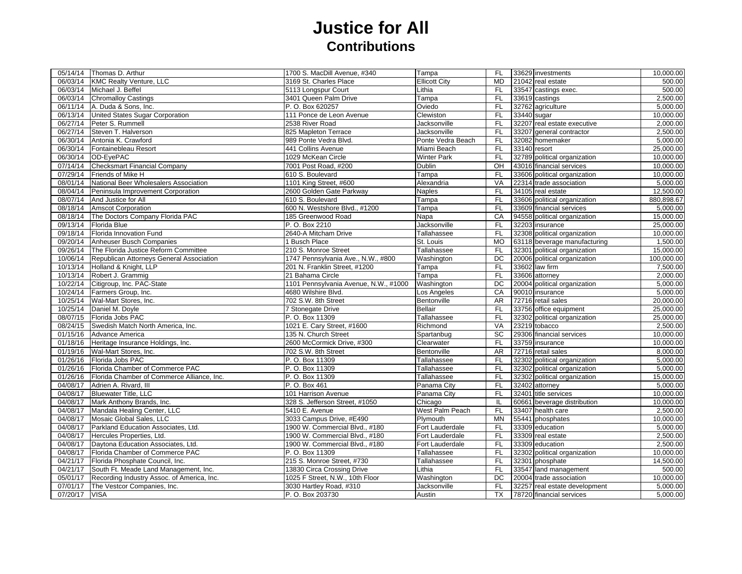## **Justice for All Contributions**

|          | 05/14/14 Thomas D. Arthur                  | 1700 S. MacDill Avenue, #340          | Tampa                | FL        | 33629 investments             | 10,000.00  |
|----------|--------------------------------------------|---------------------------------------|----------------------|-----------|-------------------------------|------------|
| 06/03/14 | <b>KMC Realty Venture, LLC</b>             | 3169 St. Charles Place                | <b>Ellicott City</b> | <b>MD</b> | 21042 real estate             | 500.00     |
| 06/03/14 | Michael J. Beffel                          | 5113 Longspur Court                   | Lithia               | FL.       | 33547 castings exec.          | 500.00     |
| 06/03/14 | <b>Chromalloy Castings</b>                 | 3401 Queen Palm Drive                 | Tampa                | <b>FL</b> | 33619 castings                | 2,500.00   |
| 06/11/14 | A. Duda & Sons, Inc.                       | P. O. Box 620257                      | Oviedo               | <b>FL</b> | 32762 agriculture             | 5.000.00   |
| 06/13/14 | United States Sugar Corporation            | 111 Ponce de Leon Avenue              | Clewiston            | <b>FL</b> | 33440 sugar                   | 10,000.00  |
| 06/27/14 | Peter S. Rummell                           | 2538 River Road                       | Jacksonville         | <b>FL</b> | 32207 real estate executive   | 2,000.00   |
| 06/27/14 | Steven T. Halverson                        | 825 Mapleton Terrace                  | Jacksonville         | <b>FL</b> | 33207<br>general contractor   | 2,500.00   |
| 06/30/14 | Antonia K. Crawford                        | 989 Ponte Vedra Blvd.                 | Ponte Vedra Beach    | FL        | 32082 homemaker               | 5,000.00   |
| 06/30/14 | Fontainebleau Resort                       | 441 Collins Avenue                    | Miami Beach          | FL        | 33140 resort                  | 25,000.00  |
| 06/30/14 | OD-EyePAC                                  | 1029 McKean Circle                    | <b>Winter Park</b>   | <b>FL</b> | 32789 political organization  | 10,000.00  |
| 07/14/14 | <b>Checksmart Financial Company</b>        | 7001 Post Road, #200                  | Dublin               | OH        | 43016 financial services      | 10,000.00  |
| 07/29/14 | Friends of Mike H                          | 610 S. Boulevard                      | Tampa                | <b>FL</b> | 33606 political organization  | 10,000.00  |
| 08/01/14 | National Beer Wholesalers Association      | 1101 King Street, #600                | Alexandria           | VA        | 22314 trade association       | 5,000.00   |
| 08/04/14 | Peninsula Improvement Corporation          | 2600 Golden Gate Parkway              | Naples               | FL        | 34105 real estate             | 12,500.00  |
| 08/07/14 | And Justice for All                        | 610 S. Boulevard                      | Tampa                | FL        | 33606 political organization  | 880,898.67 |
| 08/18/14 | <b>Amscot Corporation</b>                  | 600 N. Westshore Blvd., #1200         | Tampa                | FL        | 33609 financial services      | 5,000.00   |
| 08/18/14 | The Doctors Company Florida PAC            | 185 Greenwood Road                    | Napa                 | CA        | 94558 political organization  | 15,000.00  |
| 09/13/14 | Florida Blue                               | P. O. Box 2210                        | Jacksonville         | FL        | 32203 insurance               | 25,000.00  |
| 09/18/14 | Florida Innovation Fund                    | 2640-A Mitcham Drive                  | Tallahassee          | <b>FL</b> | 32308 political organization  | 10,000.00  |
| 09/20/14 | Anheuser Busch Companies                   | 1 Busch Place                         | St. Louis            | <b>MO</b> | 63118 beverage manufacturing  | 1,500.00   |
| 09/26/14 | The Florida Justice Reform Committee       | 210 S. Monroe Street                  | Tallahassee          | FL        | 32301 political organization  | 15,000.00  |
| 10/06/14 | Republican Attorneys General Association   | 1747 Pennsylvania Ave., N.W., #800    | Washington           | DC        | 20006 political organization  | 100,000.00 |
| 10/13/14 | Holland & Knight, LLP                      | 201 N. Franklin Street, #1200         | Tampa                | <b>FL</b> | 33602 law firm                | 7,500.00   |
| 10/13/14 | Robert J. Grammig                          | 21 Bahama Circle                      | Tampa                | FL        | 33606 attorney                | 2,000.00   |
| 10/22/14 | Citigroup, Inc. PAC-State                  | 1101 Pennsylvania Avenue, N.W., #1000 | Washington           | DC        | 20004 political organization  | 5,000.00   |
| 10/24/14 | Farmers Group, Inc.                        | 4680 Wilshire Blvd.                   | Los Angeles          | CA        | 90010 insurance               | 5,000.00   |
| 10/25/14 | Wal-Mart Stores, Inc.                      | 702 S.W. 8th Street                   | Bentonville          | <b>AR</b> | 72716 retail sales            | 20,000.00  |
| 10/25/14 | Daniel M. Doyle                            | 7 Stonegate Drive                     | <b>Bellair</b>       | FL        | 33756 office equipment        | 25,000.00  |
| 08/07/15 | Florida Jobs PAC                           | P.O. Box 11309                        | Tallahassee          | <b>FL</b> | 32302 political organization  | 25,000.00  |
| 08/24/15 | Swedish Match North America, Inc.          | 1021 E. Cary Street, #1600            | Richmond             | <b>VA</b> | 23219 tobacco                 | 2,500.00   |
| 01/15/16 | <b>Advance America</b>                     | 135 N. Church Street                  | Spartanbug           | SC        | 29306 financial services      | 10,000.00  |
| 01/18/16 | Heritage Insurance Holdings, Inc.          | 2600 McCormick Drive, #300            | Clearwater           | <b>FL</b> | 33759 insurance               | 10,000.00  |
| 01/19/16 | Wal-Mart Stores, Inc.                      | 702 S.W. 8th Street                   | Bentonville          | AR        | 72716 retail sales            | 8,000.00   |
| 01/26/16 | Florida Jobs PAC                           | P.O. Box 11309                        | Tallahassee          | <b>FL</b> | 32302 political organization  | 5,000.00   |
| 01/26/16 | Florida Chamber of Commerce PAC            | P. O. Box 11309                       | Tallahassee          | FL        | 32302 political organization  | 5,000.00   |
| 01/26/16 | Florida Chamber of Commerce Alliance, Inc. | P. O. Box 11309                       | Tallahassee          | FL        | 32302 political organization  | 15,000.00  |
| 04/08/17 | Adrien A. Rivard, III                      | P. O. Box 461                         | Panama City          | <b>FL</b> | 32402 attorney                | 5,000.00   |
| 04/08/17 | <b>Bluewater Title, LLC</b>                | 101 Harrison Avenue                   | Panama City          | <b>FL</b> | 32401 title services          | 10,000.00  |
| 04/08/17 | Mark Anthony Brands, Inc.                  | 328 S. Jefferson Street, #1050        | Chicago              | IL        | 60661 beverage distribution   | 10,000.00  |
| 04/08/17 | Mandala Healing Center, LLC                | 5410 E. Avenue                        | West Palm Peach      | <b>FL</b> | 33407 health care             | 2,500.00   |
| 04/08/17 | Mosaic Global Sales, LLC                   | 3033 Campus Drive, #E490              | Plymouth             | <b>MN</b> | 55441 phosphates              | 10,000.00  |
| 04/08/17 | Parkland Education Associates, Ltd.        | 1900 W. Commercial Blvd., #180        | Fort Lauderdale      | <b>FL</b> | 33309 education               | 5,000.00   |
| 04/08/17 | Hercules Properties, Ltd.                  | 1900 W. Commercial Blvd., #180        | Fort Lauderdale      | FL        | 33309 real estate             | 2,500.00   |
| 04/08/17 | Daytona Education Associates, Ltd.         | 1900 W. Commercial Blvd., #180        | Fort Lauderdale      | FL        | 33309 education               | 2,500.00   |
| 04/08/17 | Florida Chamber of Commerce PAC            | P. O. Box 11309                       | Tallahassee          | <b>FL</b> | 32302 political organization  | 10,000.00  |
| 04/21/17 | Florida Phosphate Council, Inc.            | 215 S. Monroe Street, #730            | Tallahassee          | <b>FL</b> | 32301 phosphate               | 14,500.00  |
| 04/21/17 | South Ft. Meade Land Management, Inc.      | 13830 Circa Crossing Drive            | Lithia               | <b>FL</b> | 33547 land management         | 500.00     |
| 05/01/17 | Recording Industry Assoc. of America, Inc. | 1025 F Street, N.W., 10th Floor       | Washington           | DC        | 20004 trade association       | 10,000.00  |
| 07/01/17 | The Vestcor Companies, Inc.                | 3030 Hartley Road, #310               | Jacksonville         | FL        | 32257 real estate development | 5,000.00   |
| 07/20/17 | <b>VISA</b>                                | P. O. Box 203730                      | Austin               | <b>TX</b> | 78720 financial services      | 5,000.00   |
|          |                                            |                                       |                      |           |                               |            |